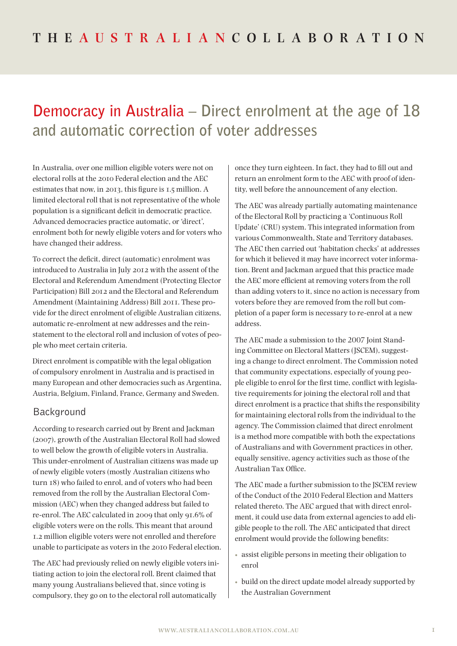# **Democracy in Australia – Direct enrolment at the age of 18 and automatic correction of voter addresses**

In Australia, over one million eligible voters were not on electoral rolls at the 2010 Federal election and the AEC estimates that now, in 2013, this figure is 1.5 million. A limited electoral roll that is not representative of the whole population is a significant deficit in democratic practice. Advanced democracies practice automatic, or 'direct', enrolment both for newly eligible voters and for voters who have changed their address.

To correct the deficit, direct (automatic) enrolment was introduced to Australia in July 2012 with the assent of the Electoral and Referendum Amendment (Protecting Elector Participation) Bill 2012 and the Electoral and Referendum Amendment (Maintaining Address) Bill 2011. These provide for the direct enrolment of eligible Australian citizens, automatic re-enrolment at new addresses and the reinstatement to the electoral roll and inclusion of votes of people who meet certain criteria.

Direct enrolment is compatible with the legal obligation of compulsory enrolment in Australia and is practised in many European and other democracies such as Argentina, Austria, Belgium, Finland, France, Germany and Sweden.

#### Background

According to research carried out by Brent and Jackman (2007), growth of the Australian Electoral Roll had slowed to well below the growth of eligible voters in Australia. This under-enrolment of Australian citizens was made up of newly eligible voters (mostly Australian citizens who turn 18) who failed to enrol, and of voters who had been removed from the roll by the Australian Electoral Commission (AEC) when they changed address but failed to re-enrol. The AEC calculated in 2009 that only 91.6% of eligible voters were on the rolls. This meant that around 1.2 million eligible voters were not enrolled and therefore unable to participate as voters in the 2010 Federal election.

The AEC had previously relied on newly eligible voters initiating action to join the electoral roll. Brent claimed that many young Australians believed that, since voting is compulsory, they go on to the electoral roll automatically

once they turn eighteen. In fact, they had to fill out and return an enrolment form to the AEC with proof of identity, well before the announcement of any election.

The AEC was already partially automating maintenance of the Electoral Roll by practicing a 'Continuous Roll Update' (CRU) system. This integrated information from various Commonwealth, State and Territory databases. The AEC then carried out 'habitation checks' at addresses for which it believed it may have incorrect voter information. Brent and Jackman argued that this practice made the AEC more efficient at removing voters from the roll than adding voters to it, since no action is necessary from voters before they are removed from the roll but completion of a paper form is necessary to re-enrol at a new address.

The AEC made a submission to the 2007 Joint Standing Committee on Electoral Matters (JSCEM), suggesting a change to direct enrolment. The Commission noted that community expectations, especially of young people eligible to enrol for the first time, conflict with legislative requirements for joining the electoral roll and that direct enrolment is a practice that shifts the responsibility for maintaining electoral rolls from the individual to the agency. The Commission claimed that direct enrolment is a method more compatible with both the expectations of Australians and with Government practices in other, equally sensitive, agency activities such as those of the Australian Tax Office.

The AEC made a further submission to the JSCEM review of the Conduct of the 2010 Federal Election and Matters related thereto. The AEC argued that with direct enrolment, it could use data from external agencies to add eligible people to the roll. The AEC anticipated that direct enrolment would provide the following benefits:

- assist eligible persons in meeting their obligation to enrol
- build on the direct update model already supported by the Australian Government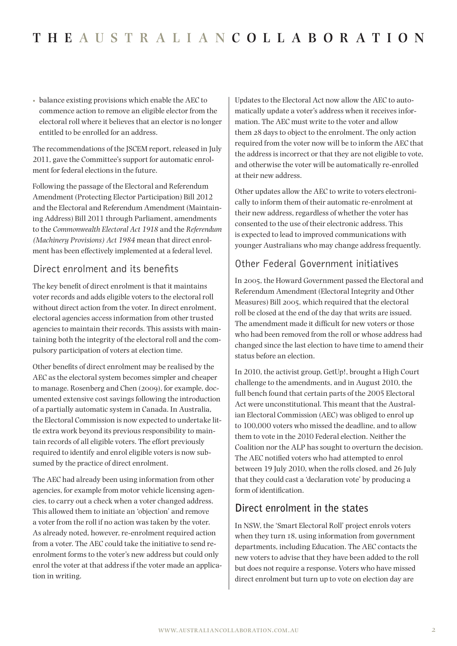• balance existing provisions which enable the AEC to commence action to remove an eligible elector from the electoral roll where it believes that an elector is no longer entitled to be enrolled for an address.

The recommendations of the JSCEM report, released in July 2011, gave the Committee's support for automatic enrolment for federal elections in the future.

Following the passage of the Electoral and Referendum Amendment (Protecting Elector Participation) Bill 2012 and the Electoral and Referendum Amendment (Maintaining Address) Bill 2011 through Parliament, amendments to the *Commonwealth Electoral Act 1918* and the *Referendum (Machinery Provisions) Act 1984* mean that direct enrolment has been effectively implemented at a federal level.

## Direct enrolment and its benefits

The key benefit of direct enrolment is that it maintains voter records and adds eligible voters to the electoral roll without direct action from the voter. In direct enrolment, electoral agencies access information from other trusted agencies to maintain their records. This assists with maintaining both the integrity of the electoral roll and the compulsory participation of voters at election time.

Other benefits of direct enrolment may be realised by the AEC as the electoral system becomes simpler and cheaper to manage. Rosenberg and Chen (2009), for example, documented extensive cost savings following the introduction of a partially automatic system in Canada. In Australia, the Electoral Commission is now expected to undertake little extra work beyond its previous responsibility to maintain records of all eligible voters. The effort previously required to identify and enrol eligible voters is now subsumed by the practice of direct enrolment.

The AEC had already been using information from other agencies, for example from motor vehicle licensing agencies, to carry out a check when a voter changed address. This allowed them to initiate an 'objection' and remove a voter from the roll if no action was taken by the voter. As already noted, however, re-enrolment required action from a voter. The AEC could take the initiative to send reenrolment forms to the voter's new address but could only enrol the voter at that address if the voter made an application in writing.

Updates to the Electoral Act now allow the AEC to automatically update a voter's address when it receives information. The AEC must write to the voter and allow them 28 days to object to the enrolment. The only action required from the voter now will be to inform the AEC that the address is incorrect or that they are not eligible to vote, and otherwise the voter will be automatically re-enrolled at their new address.

Other updates allow the AEC to write to voters electronically to inform them of their automatic re-enrolment at their new address, regardless of whether the voter has consented to the use of their electronic address. This is expected to lead to improved communications with younger Australians who may change address frequently.

#### Other Federal Government initiatives

In 2005, the Howard Government passed the Electoral and Referendum Amendment (Electoral Integrity and Other Measures) Bill 2005, which required that the electoral roll be closed at the end of the day that writs are issued. The amendment made it difficult for new voters or those who had been removed from the roll or whose address had changed since the last election to have time to amend their status before an election.

In 2010, the activist group, GetUp!, brought a High Court challenge to the amendments, and in August 2010, the full bench found that certain parts of the 2005 Electoral Act were unconstitutional. This meant that the Australian Electoral Commission (AEC) was obliged to enrol up to 100,000 voters who missed the deadline, and to allow them to vote in the 2010 Federal election. Neither the Coalition nor the ALP has sought to overturn the decision. The AEC notified voters who had attempted to enrol between 19 July 2010, when the rolls closed, and 26 July that they could cast a 'declaration vote' by producing a form of identification.

## **Direct enrolment in the states**

In NSW, the 'Smart Electoral Roll' project enrols voters when they turn 18, using information from government departments, including Education. The AEC contacts the new voters to advise that they have been added to the roll but does not require a response. Voters who have missed direct enrolment but turn up to vote on election day are